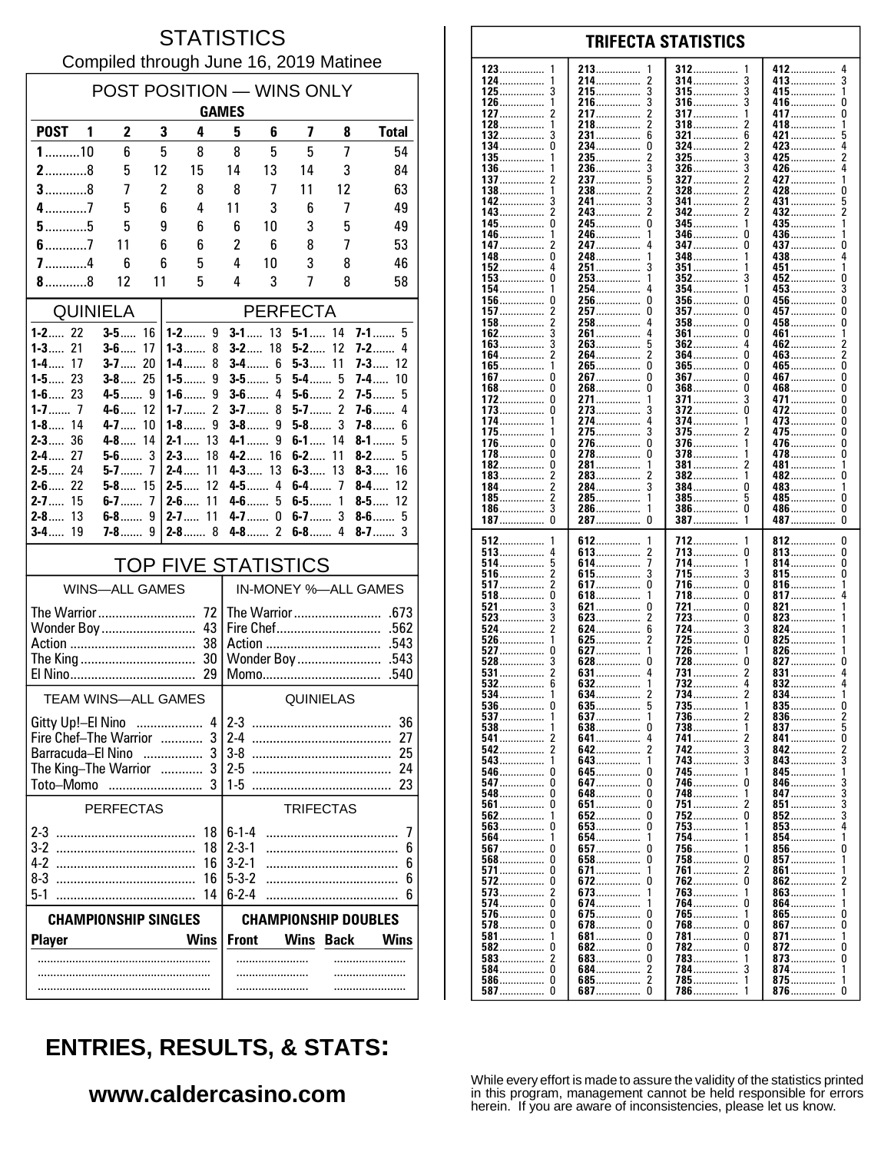#### **STATISTICS** Compiled through June 16, 2019 Matinee

| POST POSITION - WINS ONLY<br><b>GAMES</b>     |                            |          |                                |                            |                             |                      |                                  |                           |
|-----------------------------------------------|----------------------------|----------|--------------------------------|----------------------------|-----------------------------|----------------------|----------------------------------|---------------------------|
| <b>POST</b><br>$\blacksquare$                 | $\mathbf{2}$               | 3        | 4                              | 5                          | 6                           | 7                    | 8                                | <b>Total</b>              |
| $1$ 10                                        | 6                          | 5        | 8                              | 8                          | 5                           | 5                    | 7                                | 54                        |
| $2$ 8                                         | 5                          | 12       | 15                             | 14                         | 13                          | 14                   | 3                                | 84                        |
| $3$ 8                                         | 7                          | 2        | 8                              | 8                          | 7                           | 11                   | 12                               | 63                        |
| $4$ 7                                         | 5                          | 6        | 4                              | 11                         | 3                           | 6                    | 7                                | 49                        |
| $5$ 5                                         | 5                          | 9        | 6                              | 6                          | 10                          | 3                    | 5                                | 49                        |
| $6$ 7                                         | 11                         | 6        | 6                              | 2                          | 6                           | 8                    | 7                                | 53                        |
| $7$ 4                                         | 6                          | 6        | 5                              | 4                          | 10                          | 3                    | 8                                | 46                        |
| $8$ 8                                         | 12                         | 11       | 5                              | 4                          | 3                           | 7                    | 8                                | 58                        |
|                                               | <b>QUINIELA</b>            |          |                                |                            |                             | <b>PERFECTA</b>      |                                  |                           |
| $1 - 2$ 22<br>$1 - 3$ 21                      | $3-5$<br>$3 - 6$           | 16<br>17 | $1 - 2$ 9<br>$1 - 3$<br>8      |                            | $3 - 1$ 13<br>$3 - 2$ 18    | $5 - 1$ 14<br>$5-2$  | 12                               | $7-1$<br>5<br>$7-2$<br>4  |
| $1-4$<br>17                                   | $3-7$                      | 20       | 1-4……<br>8                     |                            | $3 - 4$ 6                   | $5 - 3$ 11           |                                  | $7 - 3$ 12                |
| $1 - 5$ 23                                    | $3 - 8$ 25                 |          | $1-5$<br>9                     | $3-5$                      | 5                           | $5-4$                | 5                                | <b>7-4</b> …… 10          |
| $1 - 6$ 23                                    | $4 - 5$ 9<br>$4-6$ 12      |          | 9<br>$1 - 6$<br>2<br>$1 - 7$   | $3-6$                      | 4<br>$3 - 7$<br>8           | $5-6$                | $\mathfrak{p}$<br>$\overline{2}$ | 5<br>$7-5$<br>$7-6$<br>4  |
| $1 - 8$ 14                                    | $4 - 7$                    | 10       | $1-8$<br>9                     |                            | $3-8$<br>9                  | $5-8$                | 3                                | $7 - 8$<br>6              |
| $2 - 3$ 36                                    | $4-8$                      | 14       | $2 - 1$<br>13                  | $4 - 1$                    | 9                           | $6-1$                | 14                               | 8-1<br>5                  |
| $2 - 4$ 27<br>$2 - 5$ 24                      | $5-6$<br>$5 - 7$ 7         | 3        | $2 - 3$<br>18<br>$2 - 4$<br>11 | 4-3                        | $4 - 2$ 16<br>13            | $6 - 2$<br>$6 - 3$   | 11<br>13                         | $8-2$<br>5<br>$8-3$<br>16 |
| $2 - 6$ 22                                    | $5 - 8$ 15                 |          | $2 - 5$<br>12                  |                            | 4-5<br>4                    | $6-4$ 7              |                                  | $8-4$<br>12               |
| $2 - 7$ 15                                    | $6-7$                      | 7        | $2 - 6$<br>11                  |                            | $4-6$<br>5                  | $6-5$                | 1                                | 8-5……<br>12               |
| $2-8$<br>13<br>$3-4$<br>19                    | $6-8$<br><b>7-8</b>        | 9<br>g   | 11<br>$2 - 7$<br>$2 - 8$ 8     |                            | $4 - 7$ 0<br>$4 - 8$ 2      | $6-7$<br>$6-8$       | 3<br>4                           | $8-6$<br>5<br>$8-7$<br>3  |
|                                               |                            |          |                                |                            |                             |                      |                                  |                           |
| <b>TOP FIVE STATISTICS</b>                    |                            |          |                                |                            |                             |                      |                                  |                           |
|                                               | <b>WINS-ALL GAMES</b>      |          |                                |                            |                             | IN-MONEY %-ALL GAMES |                                  |                           |
| Wonder Boy                                    |                            |          | 43                             |                            |                             |                      |                                  |                           |
|                                               |                            |          | 38                             |                            |                             |                      |                                  |                           |
| The King                                      |                            |          | 30                             | Wonder Boy<br>.543         |                             |                      |                                  |                           |
|                                               |                            |          | 29                             |                            |                             |                      |                                  | .540                      |
|                                               | <b>TEAM WINS-ALL GAMES</b> |          |                                | QUINIELAS                  |                             |                      |                                  |                           |
| Gitty Up!-El Nino                             |                            |          |                                | $4 2-3$                    |                             |                      |                                  | 36                        |
| Fire Chef-The Warrior  3<br>Barracuda-El Nino |                            |          |                                | $2-4$<br>27<br>25          |                             |                      |                                  |                           |
| The King-The Warrior                          |                            |          |                                | $2-5$<br>24                |                             |                      |                                  |                           |
| Toto-Momo                                     |                            |          | .                              | $1-5$                      |                             |                      |                                  | 23                        |
|                                               | <b>PERFECTAS</b>           |          |                                |                            |                             | <b>TRIFECTAS</b>     |                                  |                           |
|                                               |                            |          | 18                             | $6 - 1 - 4$                |                             |                      |                                  | 7                         |
|                                               |                            |          | 18                             | $2 - 3 - 1$                |                             |                      |                                  | 6                         |
| $4-2$<br>$8-3$                                |                            |          | 16<br>16                       | $3 - 2 - 1$<br>$5 - 3 - 2$ |                             |                      |                                  | 6<br>6                    |
| $5-1$                                         |                            |          | 14                             | $6 - 2 - 4$                |                             |                      |                                  | 6                         |
| <b>CHAMPIONSHIP SINGLES</b>                   |                            |          |                                |                            | <b>CHAMPIONSHIP DOUBLES</b> |                      |                                  |                           |
| <b>Player</b>                                 |                            |          | <b>Wins</b>                    | <b>Front</b>               |                             | <b>Wins</b>          | <b>Back</b>                      | <b>Wins</b>               |
|                                               |                            |          |                                |                            | .                           |                      |                                  | .                         |
|                                               |                            |          |                                |                            |                             |                      |                                  |                           |
|                                               |                            |          |                                |                            |                             |                      |                                  |                           |

| $123$        | 213                   | 312           | 412           |
|--------------|-----------------------|---------------|---------------|
| 1            | 1                     | 1             | 4             |
| 124          | 214                   |               |               |
|              | 2                     | 314<br>3      | 413……………<br>3 |
| 125          | 3                     | 315           | 415           |
|              | 215                   | 3             | 1             |
| 126……………     | 3                     | 316……………      | 416           |
| 1            | 216……………              | 3             | 0             |
|              |                       |               |               |
| 127          | 217                   | 317           | 417           |
| 2            | 2                     | 1             | 0             |
| 128……………     | 2                     | 318           | 418……………      |
|              | 218……………              | 2             | 1             |
| 132          | 231                   | 321           | 421           |
|              | 6                     | 6             | 5             |
|              |                       |               |               |
| 134……………     | 234……………              | 324……………      | 423……………      |
| 0            | 0                     | 2             | 4             |
| $135$        | 235                   | 3             | 425           |
|              | 2                     | 325           | 2             |
| 136          | 3                     | 326……………      | 426……………      |
| 1            | 236                   | 3             | 4             |
|              |                       |               |               |
| 137          | 237<br>5              | 2<br>327      | 427           |
| 138……………     | 2                     | 2             | 428……………      |
|              | 238                   | 328……………      | 0             |
| 142          | 241                   | 341           | 431           |
| 3            | 3                     | 2             | 5             |
|              |                       |               |               |
| 143……………     | 243                   | 2             | 432           |
| 2            | 2                     | 342           | 2             |
| 145……………     | 245                   | <b>345</b>    | 435           |
| 0            | 0                     | 1             |               |
| 146          | 246                   | 346           | 436           |
| 1            | 1                     | 0             | 1             |
|              | 247<br>4              |               |               |
| 147……………     |                       | 347           | 437           |
| 2            |                       | 0             | 0             |
| 148          | 248                   | 348           | 438           |
| U            | 1                     | 1             | 4             |
| 152          | 251<br>3              | <b>351</b>    | 451<br>1      |
| 0            | 1                     | 3             |               |
| $153$        | 253                   | $352$         | 452<br>0      |
| 154          | 254……………              | 354           | 453           |
| 1            | 4                     | 1             | 3             |
| 156……………     | 256                   | 356……………      | 456……………      |
| 0            | 0                     | 0             | 0             |
| $157$        | 257                   | 357           | 457           |
| 2            | 0                     | 0             | 0             |
|              |                       |               |               |
| $158$        | 258                   | $358$         | 458           |
| 2            | 4                     | 0             | 0             |
| 162          | 261                   | <b>361</b>    | 461           |
|              | 4                     | 0             | 1             |
| 163          | 263……………              | 362           | 462           |
|              | 5                     | 4             | 2             |
| 164……………     | 2                     | 364……………      | 463           |
| 2            | 264……………              | 0             | 2             |
|              |                       |               |               |
| $165$        | 265                   | $365$         | 465           |
| 1            | 0                     | 0             | 0             |
| 167          | 267                   | 367           | 467           |
| 0            | 0                     | 0             | 0             |
| 168……………     | 268                   | 368……………      | 468           |
| 0            | 0                     | 0             | 0             |
|              | 1                     | 3             | 471           |
| 172<br>0     | 271                   | 371           | 0             |
| $173$        | 273                   | 372           | 472           |
| 0            | 3                     | 0             | 0             |
| 174          | 274                   | 374           | 473           |
| 1            | 4                     | 1             | 0             |
| 175……………     | 275<br>3              | <b>375</b>    | 475<br>0      |
|              |                       |               |               |
| 176          | 276                   | 376           | 476……………      |
| 0            | 0                     | 1             | 0             |
| 178……………     | 278……………              | 378……………      | 478           |
| 0            | 0                     | 1             | 0             |
| 182          | 281                   | $381$         | 481           |
| 0            | 1                     | 2             | 1             |
| $183$        | 283                   | 382           | 482           |
|              | 2                     | 1             | 0             |
|              |                       |               |               |
| 184……………     | 3                     | 384……………      | 483……………      |
| 2            | 284……………              | 0             | 1             |
| 185……………     | 285……………              | 385           | 485           |
|              | 1                     | 5             | 0             |
| 186……………     | 286                   | 386……………      | 486……………      |
|              | 1                     | 0             | 0             |
|              | 0                     |               |               |
| 187          | 287                   | 387           | 487<br>0      |
|              |                       |               |               |
|              |                       |               |               |
| 512          | 612                   | 1             | 812           |
| 1            | 1                     |               | 0             |
|              |                       | 712           |               |
| $513$        | 613                   | 713           | 813           |
| 4            | 2                     | 0             | 0             |
| 514          | 614                   | 714           | 814           |
|              | 7                     | 1             | 0             |
| $516$        | 3                     | <u>715</u>    | 815           |
| 2            | 615……………              | 3             | 0             |
|              | 0                     | 0             | 1             |
| 517          | 617                   | 716           | 816           |
| 518          | 618                   | 718           | 817           |
| 0            | 1                     | 0             | 4             |
| 521          | 621<br>0              | 721<br>0      | 821           |
| 523          | 2                     | 723           | 823           |
| 3            | 623                   | 0             | 1             |
|              | 6                     | 3             | 1             |
| 524          | 624                   | 724           | 824           |
| 526          | 2                     | <b>725</b>    | $825$         |
|              | 625                   | 0             | 1             |
| 527          | 627                   | 726           | 826           |
|              | 1                     | 1             | 1             |
| $528$        | 628                   | 728……………      | 827           |
|              | 0                     | 0             | 0             |
|              |                       |               | 4             |
| $531$        | $631$                 | 731<br>2      | 831           |
| $532$        | 632                   | 732<br>4      | 832<br>4      |
| 534          | 634                   | 734……………<br>2 | 834<br>1      |
| 0            | 635<br>5              | 735           | 835<br>0      |
| $536$        | 637                   | <b>736</b>    | 2             |
| 1            | 1                     | 2             |               |
| $537$        |                       |               | 836           |
| 538          | 638                   | 738           | 837           |
| 1            | 0                     | 1             | 5             |
| 541          | 641                   | 741           | 841<br>0      |
| 542          | $\overline{2}$<br>642 | 742<br>3      | 842           |
|              | 1                     | 3             |               |
| 543          | 643                   | 743           | 843           |
| 546          |                       | 745           | 845           |
| U            |                       | 1             | 1             |
| 547          | 647<br>0              | 746<br>0      | 846           |
| 548          | 648                   | 748           | 847           |
|              | O                     | 1             | 3             |
|              |                       |               |               |
|              |                       |               | 851           |
| $562$        | 652                   | 752           | 852           |
|              | 0                     | 0             | 3             |
| $563 \ldots$ | 653                   | 753           | $853$         |
| 0            | 0                     | 1             |               |
| 564          | 654                   | 754           | 854           |
| 1            | 1                     | 1             | 1             |
| U            | 0                     | 1             | 0             |
| $567$        | <b>657</b>            | 756           | 856           |
| $568$        | 658                   | 758           | 857           |
| 0            | 0                     | U             | 1             |
| 571          | 671                   | 761           | $861$         |
| 0            | 1                     | 2             | 1             |
|              | 672<br>0              | 762  0        | 862<br>2      |
|              |                       |               |               |
| <b>573</b>   | 673                   | <b>763</b>    | 863           |
| 2            | 1                     | 1             | 1             |
| 574          | 674                   | 764           | 864……………      |
| 0            | 1                     | 0             | 1             |
| <b>576</b>   | <b>675</b>            | 765           | 865           |
|              | 0                     | 1             | 0             |
| <b>578</b> 0 | 678<br>0              | 768……………<br>0 | 867           |
|              | 0                     | 0             | 1             |
| 581          | <b>681</b>            | 781           | 871           |
| <b>582</b>   | 682<br>0              | 782<br>0      | 872           |
| 583          | 683<br>0              | 783<br>1      | 873           |
| 584……………… 0  | 2                     | 784……………      | 874           |
|              | 684                   | 3             | 1             |
| <b>586</b>   | 2                     | 785           | 875           |
| 0            | 685                   | 1             | 1             |
| <b>587</b> 0 |                       | 786<br>- 1    |               |

**TRIFECTA STATISTICS** 

# **ENTRIES, RESULTS, & STATS:**

### www.caldercasino.com